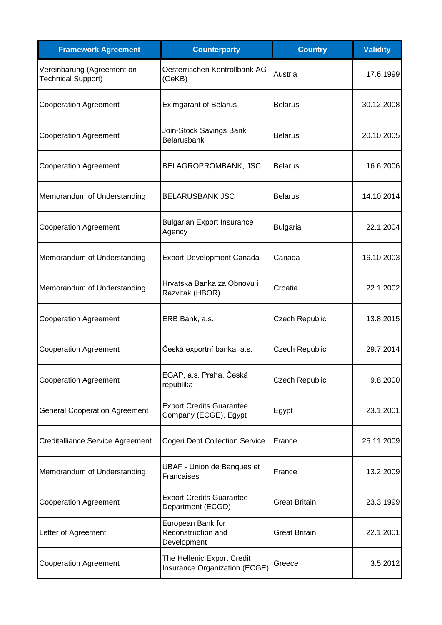| <b>Framework Agreement</b>                              | <b>Counterparty</b>                                         | <b>Country</b>        | <b>Validity</b> |
|---------------------------------------------------------|-------------------------------------------------------------|-----------------------|-----------------|
| Vereinbarung (Agreement on<br><b>Technical Support)</b> | Oesterrischen Kontrollbank AG<br>(OeKB)                     | Austria               | 17.6.1999       |
| <b>Cooperation Agreement</b>                            | <b>Eximgarant of Belarus</b>                                | <b>Belarus</b>        | 30.12.2008      |
| <b>Cooperation Agreement</b>                            | Join-Stock Savings Bank<br>Belarusbank                      | <b>Belarus</b>        | 20.10.2005      |
| <b>Cooperation Agreement</b>                            | BELAGROPROMBANK, JSC                                        | <b>Belarus</b>        | 16.6.2006       |
| Memorandum of Understanding                             | <b>BELARUSBANK JSC</b>                                      | <b>Belarus</b>        | 14.10.2014      |
| <b>Cooperation Agreement</b>                            | <b>Bulgarian Export Insurance</b><br>Agency                 | <b>Bulgaria</b>       | 22.1.2004       |
| Memorandum of Understanding                             | <b>Export Development Canada</b>                            | Canada                | 16.10.2003      |
| Memorandum of Understanding                             | Hrvatska Banka za Obnovu i<br>Razvitak (HBOR)               | Croatia               | 22.1.2002       |
| <b>Cooperation Agreement</b>                            | ERB Bank, a.s.                                              | <b>Czech Republic</b> | 13.8.2015       |
| <b>Cooperation Agreement</b>                            | Česká exportní banka, a.s.                                  | Czech Republic        | 29.7.2014       |
| <b>Cooperation Agreement</b>                            | EGAP, a.s. Praha, Česká<br>republika                        | <b>Czech Republic</b> | 9.8.2000        |
| <b>General Cooperation Agreement</b>                    | <b>Export Credits Guarantee</b><br>Company (ECGE), Egypt    | Egypt                 | 23.1.2001       |
| <b>Creditalliance Service Agreement</b>                 | Cogeri Debt Collection Service                              | France                | 25.11.2009      |
| Memorandum of Understanding                             | <b>UBAF - Union de Banques et</b><br>Francaises             | France                | 13.2.2009       |
| <b>Cooperation Agreement</b>                            | <b>Export Credits Guarantee</b><br>Department (ECGD)        | <b>Great Britain</b>  | 23.3.1999       |
| Letter of Agreement                                     | European Bank for<br>Reconstruction and<br>Development      | <b>Great Britain</b>  | 22.1.2001       |
| <b>Cooperation Agreement</b>                            | The Hellenic Export Credit<br>Insurance Organization (ECGE) | Greece                | 3.5.2012        |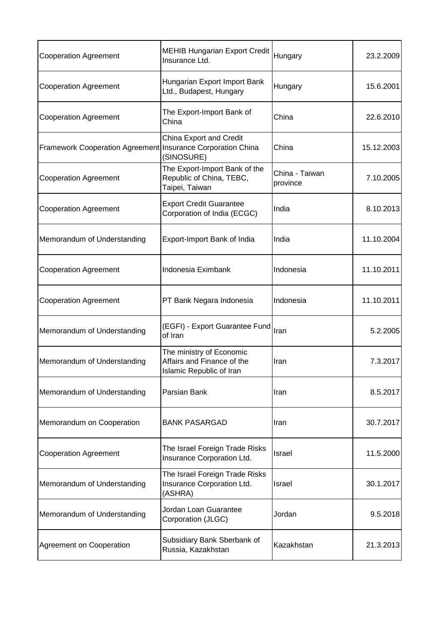| <b>Cooperation Agreement</b>                                | <b>MEHIB Hungarian Export Credit</b><br>Insurance Ltd.                             | Hungary                    | 23.2.2009  |
|-------------------------------------------------------------|------------------------------------------------------------------------------------|----------------------------|------------|
| <b>Cooperation Agreement</b>                                | Hungarian Export Import Bank<br>Ltd., Budapest, Hungary                            | Hungary                    | 15.6.2001  |
| <b>Cooperation Agreement</b>                                | The Export-Import Bank of<br>China                                                 | China                      | 22.6.2010  |
| Framework Cooperation Agreement Insurance Corporation China | <b>China Export and Credit</b><br>(SINOSURE)                                       | China                      | 15.12.2003 |
| <b>Cooperation Agreement</b>                                | The Export-Import Bank of the<br>Republic of China, TEBC,<br>Taipei, Taiwan        | China - Taiwan<br>province | 7.10.2005  |
| <b>Cooperation Agreement</b>                                | <b>Export Credit Guarantee</b><br>Corporation of India (ECGC)                      | India                      | 8.10.2013  |
| Memorandum of Understanding                                 | Export-Import Bank of India                                                        | India                      | 11.10.2004 |
| <b>Cooperation Agreement</b>                                | Indonesia Eximbank                                                                 | Indonesia                  | 11.10.2011 |
| <b>Cooperation Agreement</b>                                | PT Bank Negara Indonesia                                                           | Indonesia                  | 11.10.2011 |
| Memorandum of Understanding                                 | (EGFI) - Export Guarantee Fund<br>of Iran                                          | Iran                       | 5.2.2005   |
| Memorandum of Understanding                                 | The ministry of Economic<br>Affairs and Finance of the<br>Islamic Republic of Iran | Iran                       | 7.3.2017   |
| Memorandum of Understanding                                 | Parsian Bank                                                                       | Iran                       | 8.5.2017   |
| Memorandum on Cooperation                                   | <b>BANK PASARGAD</b>                                                               | Iran                       | 30.7.2017  |
| <b>Cooperation Agreement</b>                                | The Israel Foreign Trade Risks<br>Insurance Corporation Ltd.                       | Israel                     | 11.5.2000  |
| Memorandum of Understanding                                 | The Israel Foreign Trade Risks<br>Insurance Corporation Ltd.<br>(ASHRA)            | Israel                     | 30.1.2017  |
| Memorandum of Understanding                                 | Jordan Loan Guarantee<br>Corporation (JLGC)                                        | Jordan                     | 9.5.2018   |
| Agreement on Cooperation                                    | Subsidiary Bank Sberbank of<br>Russia, Kazakhstan                                  | Kazakhstan                 | 21.3.2013  |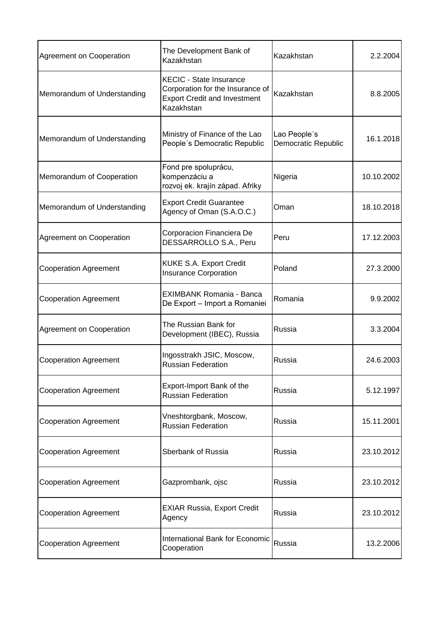| Agreement on Cooperation     | The Development Bank of<br>Kazakhstan                                                                                   | Kazakhstan                                 | 2.2.2004   |
|------------------------------|-------------------------------------------------------------------------------------------------------------------------|--------------------------------------------|------------|
| Memorandum of Understanding  | <b>KECIC - State Insurance</b><br>Corporation for the Insurance of<br><b>Export Credit and Investment</b><br>Kazakhstan | Kazakhstan                                 | 8.8.2005   |
| Memorandum of Understanding  | Ministry of Finance of the Lao<br>People's Democratic Republic                                                          | Lao People's<br><b>Democratic Republic</b> | 16.1.2018  |
| Memorandum of Cooperation    | Fond pre spoluprácu,<br>kompenzáciu a<br>rozvoj ek. krajín západ. Afriky                                                | Nigeria                                    | 10.10.2002 |
| Memorandum of Understanding  | <b>Export Credit Guarantee</b><br>Agency of Oman (S.A.O.C.)                                                             | Oman                                       | 18.10.2018 |
| Agreement on Cooperation     | Corporacion Financiera De<br>DESSARROLLO S.A., Peru                                                                     | Peru                                       | 17.12.2003 |
| <b>Cooperation Agreement</b> | KUKE S.A. Export Credit<br><b>Insurance Corporation</b>                                                                 | Poland                                     | 27.3.2000  |
| <b>Cooperation Agreement</b> | <b>EXIMBANK Romania - Banca</b><br>De Export - Import a Romaniei                                                        | Romania                                    | 9.9.2002   |
| Agreement on Cooperation     | The Russian Bank for<br>Development (IBEC), Russia                                                                      | Russia                                     | 3.3.2004   |
| <b>Cooperation Agreement</b> | Ingosstrakh JSIC, Moscow,<br><b>Russian Federation</b>                                                                  | Russia                                     | 24.6.2003  |
| <b>Cooperation Agreement</b> | Export-Import Bank of the<br><b>Russian Federation</b>                                                                  | Russia                                     | 5.12.1997  |
| <b>Cooperation Agreement</b> | Vneshtorgbank, Moscow,<br><b>Russian Federation</b>                                                                     | Russia                                     | 15.11.2001 |
| <b>Cooperation Agreement</b> | Sberbank of Russia                                                                                                      | Russia                                     | 23.10.2012 |
| <b>Cooperation Agreement</b> | Gazprombank, ojsc                                                                                                       | Russia                                     | 23.10.2012 |
| <b>Cooperation Agreement</b> | <b>EXIAR Russia, Export Credit</b><br>Agency                                                                            | Russia                                     | 23.10.2012 |
| <b>Cooperation Agreement</b> | International Bank for Economic<br>Cooperation                                                                          | Russia                                     | 13.2.2006  |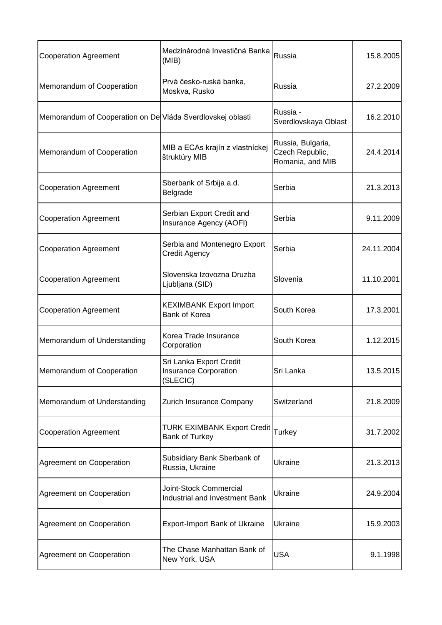| <b>Cooperation Agreement</b>                               | Medzinárodná Investičná Banka<br>(MIB)                              | Russia                                                   | 15.8.2005  |
|------------------------------------------------------------|---------------------------------------------------------------------|----------------------------------------------------------|------------|
| Memorandum of Cooperation                                  | Prvá česko-ruská banka,<br>Moskva, Rusko                            | Russia                                                   | 27.2.2009  |
| Memorandum of Cooperation on De Vláda Sverdlovskej oblasti |                                                                     | Russia -<br>Sverdlovskaya Oblast                         | 16.2.2010  |
| Memorandum of Cooperation                                  | MIB a ECAs krajín z vlastníckej<br>štruktúry MIB                    | Russia, Bulgaria,<br>Czech Republic,<br>Romania, and MIB | 24.4.2014  |
| <b>Cooperation Agreement</b>                               | Sberbank of Srbija a.d.<br>Belgrade                                 | Serbia                                                   | 21.3.2013  |
| <b>Cooperation Agreement</b>                               | Serbian Export Credit and<br>Insurance Agency (AOFI)                | Serbia                                                   | 9.11.2009  |
| <b>Cooperation Agreement</b>                               | Serbia and Montenegro Export<br>Credit Agency                       | Serbia                                                   | 24.11.2004 |
| <b>Cooperation Agreement</b>                               | Slovenska Izovozna Druzba<br>Ljubljana (SID)                        | Slovenia                                                 | 11.10.2001 |
| <b>Cooperation Agreement</b>                               | <b>KEXIMBANK Export Import</b><br><b>Bank of Korea</b>              | South Korea                                              | 17.3.2001  |
| Memorandum of Understanding                                | Korea Trade Insurance<br>Corporation                                | South Korea                                              | 1.12.2015  |
| Memorandum of Cooperation                                  | Sri Lanka Export Credit<br><b>Insurance Corporation</b><br>(SLECIC) | Sri Lanka                                                | 13.5.2015  |
| Memorandum of Understanding                                | Zurich Insurance Company                                            | Switzerland                                              | 21.8.2009  |
| <b>Cooperation Agreement</b>                               | <b>TURK EXIMBANK Export Credit</b><br><b>Bank of Turkey</b>         | <b>Turkey</b>                                            | 31.7.2002  |
| Agreement on Cooperation                                   | Subsidiary Bank Sberbank of<br>Russia, Ukraine                      | Ukraine                                                  | 21.3.2013  |
| Agreement on Cooperation                                   | <b>Joint-Stock Commercial</b><br>Industrial and Investment Bank     | Ukraine                                                  | 24.9.2004  |
| Agreement on Cooperation                                   | <b>Export-Import Bank of Ukraine</b>                                | Ukraine                                                  | 15.9.2003  |
| Agreement on Cooperation                                   | The Chase Manhattan Bank of<br>New York, USA                        | <b>USA</b>                                               | 9.1.1998   |